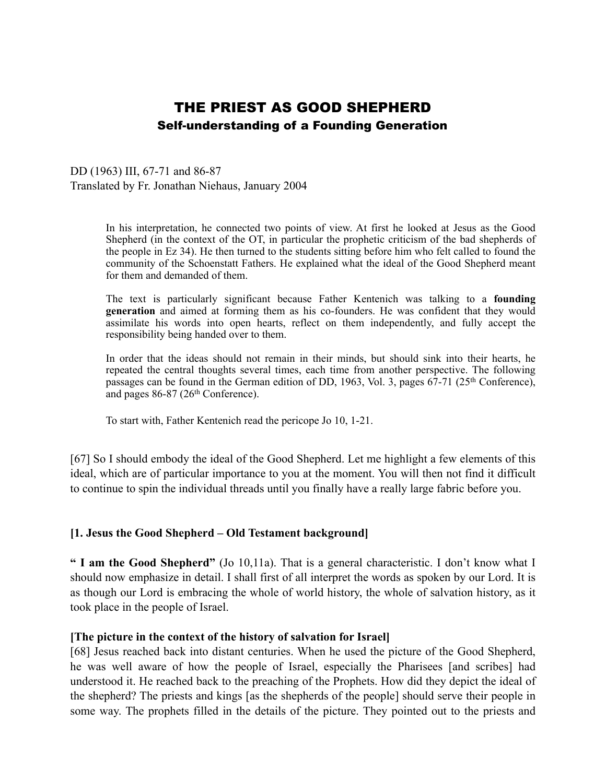# THE PRIEST AS GOOD SHEPHERD Self-understanding of a Founding Generation

DD (1963) III, 67-71 and 86-87 Translated by Fr. Jonathan Niehaus, January 2004

> In his interpretation, he connected two points of view. At first he looked at Jesus as the Good Shepherd (in the context of the OT, in particular the prophetic criticism of the bad shepherds of the people in Ez 34). He then turned to the students sitting before him who felt called to found the community of the Schoenstatt Fathers. He explained what the ideal of the Good Shepherd meant for them and demanded of them.

> The text is particularly significant because Father Kentenich was talking to a **founding generation** and aimed at forming them as his co-founders. He was confident that they would assimilate his words into open hearts, reflect on them independently, and fully accept the responsibility being handed over to them.

> In order that the ideas should not remain in their minds, but should sink into their hearts, he repeated the central thoughts several times, each time from another perspective. The following passages can be found in the German edition of DD, 1963, Vol. 3, pages 67-71 (25th Conference), and pages 86-87 (26th Conference).

To start with, Father Kentenich read the pericope Jo 10, 1-21.

[67] So I should embody the ideal of the Good Shepherd. Let me highlight a few elements of this ideal, which are of particular importance to you at the moment. You will then not find it difficult to continue to spin the individual threads until you finally have a really large fabric before you.

## **[1. Jesus the Good Shepherd – Old Testament background]**

**" I am the Good Shepherd"** (Jo 10,11a). That is a general characteristic. I don't know what I should now emphasize in detail. I shall first of all interpret the words as spoken by our Lord. It is as though our Lord is embracing the whole of world history, the whole of salvation history, as it took place in the people of Israel.

## **[The picture in the context of the history of salvation for Israel]**

[68] Jesus reached back into distant centuries. When he used the picture of the Good Shepherd, he was well aware of how the people of Israel, especially the Pharisees [and scribes] had understood it. He reached back to the preaching of the Prophets. How did they depict the ideal of the shepherd? The priests and kings [as the shepherds of the people] should serve their people in some way. The prophets filled in the details of the picture. They pointed out to the priests and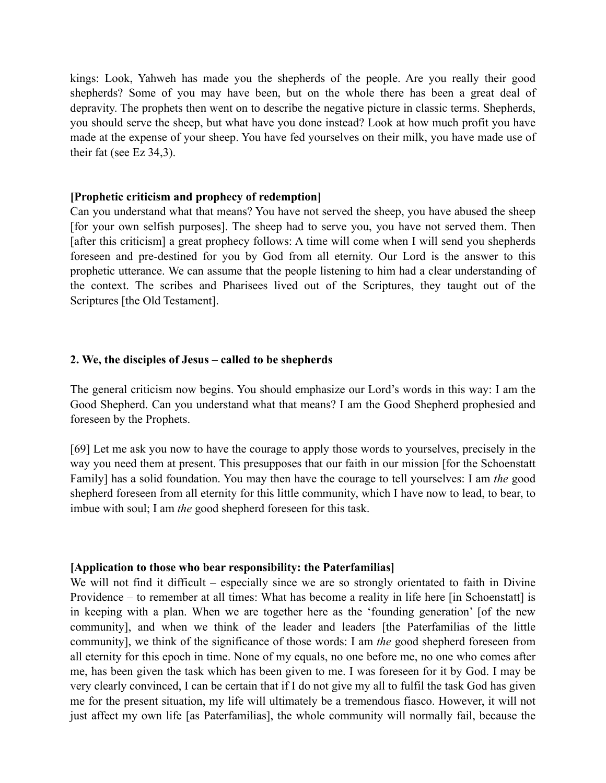kings: Look, Yahweh has made you the shepherds of the people. Are you really their good shepherds? Some of you may have been, but on the whole there has been a great deal of depravity. The prophets then went on to describe the negative picture in classic terms. Shepherds, you should serve the sheep, but what have you done instead? Look at how much profit you have made at the expense of your sheep. You have fed yourselves on their milk, you have made use of their fat (see Ez 34,3).

#### **[Prophetic criticism and prophecy of redemption]**

Can you understand what that means? You have not served the sheep, you have abused the sheep [for your own selfish purposes]. The sheep had to serve you, you have not served them. Then [after this criticism] a great prophecy follows: A time will come when I will send you shepherds foreseen and pre-destined for you by God from all eternity. Our Lord is the answer to this prophetic utterance. We can assume that the people listening to him had a clear understanding of the context. The scribes and Pharisees lived out of the Scriptures, they taught out of the Scriptures [the Old Testament].

#### **2. We, the disciples of Jesus – called to be shepherds**

The general criticism now begins. You should emphasize our Lord's words in this way: I am the Good Shepherd. Can you understand what that means? I am the Good Shepherd prophesied and foreseen by the Prophets.

[69] Let me ask you now to have the courage to apply those words to yourselves, precisely in the way you need them at present. This presupposes that our faith in our mission [for the Schoenstatt Family] has a solid foundation. You may then have the courage to tell yourselves: I am *the* good shepherd foreseen from all eternity for this little community, which I have now to lead, to bear, to imbue with soul; I am *the* good shepherd foreseen for this task.

#### **[Application to those who bear responsibility: the Paterfamilias]**

We will not find it difficult – especially since we are so strongly orientated to faith in Divine Providence – to remember at all times: What has become a reality in life here [in Schoenstatt] is in keeping with a plan. When we are together here as the 'founding generation' [of the new community], and when we think of the leader and leaders [the Paterfamilias of the little community], we think of the significance of those words: I am *the* good shepherd foreseen from all eternity for this epoch in time. None of my equals, no one before me, no one who comes after me, has been given the task which has been given to me. I was foreseen for it by God. I may be very clearly convinced, I can be certain that if I do not give my all to fulfil the task God has given me for the present situation, my life will ultimately be a tremendous fiasco. However, it will not just affect my own life [as Paterfamilias], the whole community will normally fail, because the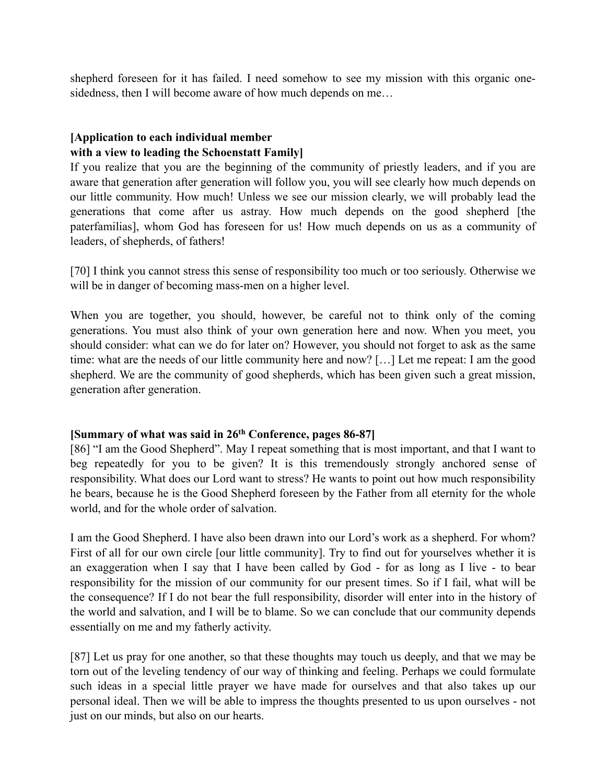shepherd foreseen for it has failed. I need somehow to see my mission with this organic onesidedness, then I will become aware of how much depends on me...

# **[Application to each individual member with a view to leading the Schoenstatt Family]**

If you realize that you are the beginning of the community of priestly leaders, and if you are aware that generation after generation will follow you, you will see clearly how much depends on our little community. How much! Unless we see our mission clearly, we will probably lead the generations that come after us astray. How much depends on the good shepherd [the paterfamilias], whom God has foreseen for us! How much depends on us as a community of leaders, of shepherds, of fathers!

[70] I think you cannot stress this sense of responsibility too much or too seriously. Otherwise we will be in danger of becoming mass-men on a higher level.

When you are together, you should, however, be careful not to think only of the coming generations. You must also think of your own generation here and now. When you meet, you should consider: what can we do for later on? However, you should not forget to ask as the same time: what are the needs of our little community here and now? […] Let me repeat: I am the good shepherd. We are the community of good shepherds, which has been given such a great mission, generation after generation.

## **[Summary of what was said in 26th Conference, pages 86-87]**

[86] "I am the Good Shepherd". May I repeat something that is most important, and that I want to beg repeatedly for you to be given? It is this tremendously strongly anchored sense of responsibility. What does our Lord want to stress? He wants to point out how much responsibility he bears, because he is the Good Shepherd foreseen by the Father from all eternity for the whole world, and for the whole order of salvation.

I am the Good Shepherd. I have also been drawn into our Lord's work as a shepherd. For whom? First of all for our own circle [our little community]. Try to find out for yourselves whether it is an exaggeration when I say that I have been called by God - for as long as I live - to bear responsibility for the mission of our community for our present times. So if I fail, what will be the consequence? If I do not bear the full responsibility, disorder will enter into in the history of the world and salvation, and I will be to blame. So we can conclude that our community depends essentially on me and my fatherly activity.

[87] Let us pray for one another, so that these thoughts may touch us deeply, and that we may be torn out of the leveling tendency of our way of thinking and feeling. Perhaps we could formulate such ideas in a special little prayer we have made for ourselves and that also takes up our personal ideal. Then we will be able to impress the thoughts presented to us upon ourselves - not just on our minds, but also on our hearts.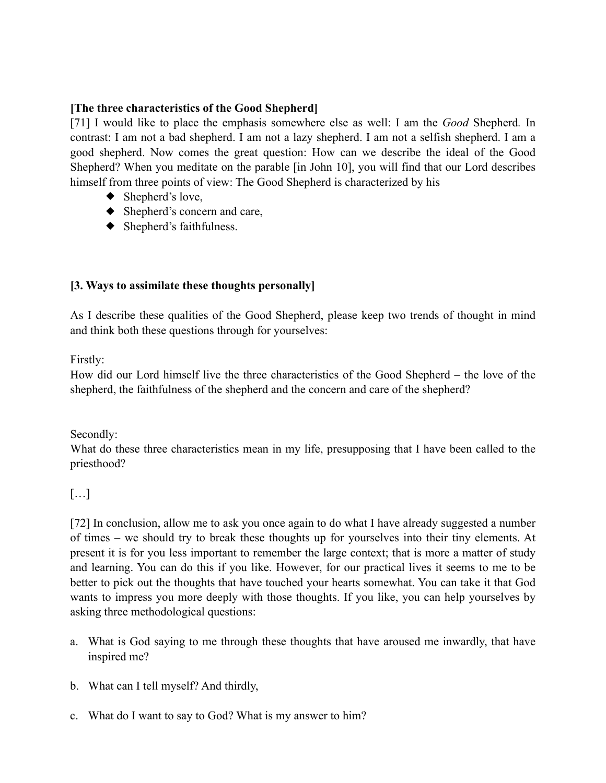## **[The three characteristics of the Good Shepherd]**

[71] I would like to place the emphasis somewhere else as well: I am the *Good* Shepherd*.* In contrast: I am not a bad shepherd. I am not a lazy shepherd. I am not a selfish shepherd. I am a good shepherd. Now comes the great question: How can we describe the ideal of the Good Shepherd? When you meditate on the parable [in John 10], you will find that our Lord describes himself from three points of view: The Good Shepherd is characterized by his

- $\blacklozenge$  Shepherd's love,
- ◆ Shepherd's concern and care,
- ◆ Shepherd's faithfulness.

# **[3. Ways to assimilate these thoughts personally]**

As I describe these qualities of the Good Shepherd, please keep two trends of thought in mind and think both these questions through for yourselves:

Firstly:

How did our Lord himself live the three characteristics of the Good Shepherd – the love of the shepherd, the faithfulness of the shepherd and the concern and care of the shepherd?

Secondly:

What do these three characteristics mean in my life, presupposing that I have been called to the priesthood?

# […]

[72] In conclusion, allow me to ask you once again to do what I have already suggested a number of times – we should try to break these thoughts up for yourselves into their tiny elements. At present it is for you less important to remember the large context; that is more a matter of study and learning. You can do this if you like. However, for our practical lives it seems to me to be better to pick out the thoughts that have touched your hearts somewhat. You can take it that God wants to impress you more deeply with those thoughts. If you like, you can help yourselves by asking three methodological questions:

- a. What is God saying to me through these thoughts that have aroused me inwardly, that have inspired me?
- b. What can I tell myself? And thirdly,
- c. What do I want to say to God? What is my answer to him?